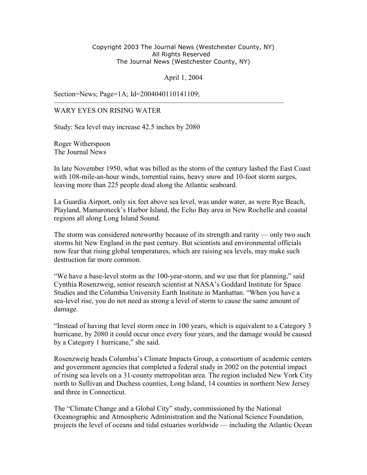## Copyright 2003 The Journal News (Westchester County, NY) All Rights Reserved The Journal News (Westchester County, NY)

April 1, 2004

————————————————————————————————

Section=News; Page=1A; Id=2004040110141109;

## WARY EYES ON RISING WATER

Study: Sea level may increase 42.5 inches by 2080

Roger Witherspoon The Journal News

In late November 1950, what was billed as the storm of the century lashed the East Coast with 108-mile-an-hour winds, torrential rains, heavy snow and 10-foot storm surges, leaving more than 225 people dead along the Atlantic seaboard.

La Guardia Airport, only six feet above sea level, was under water, as were Rye Beach, Playland, Mamaroneck's Harbor Island, the Echo Bay area in New Rochelle and coastal regions all along Long Island Sound.

The storm was considered noteworthy because of its strength and rarity — only two such storms hit New England in the past century. But scientists and environmental officials now fear that rising global temperatures, which are raising sea levels, may make such destruction far more common.

"We have a base-level storm as the 100-year-storm, and we use that for planning," said Cynthia Rosenzweig, senior research scientist at NASA's Goddard Institute for Space Studies and the Columbia University Earth Institute in Manhattan. "When you have a sea-level rise, you do not need as strong a level of storm to cause the same amount of damage.

"Instead of having that level storm once in 100 years, which is equivalent to a Category 3 hurricane, by 2080 it could occur once every four years, and the damage would be caused by a Category 1 hurricane," she said.

Rosenzweig heads Columbia's Climate Impacts Group, a consortium of academic centers and government agencies that completed a federal study in 2002 on the potential impact of rising sea levels on a 31-county metropolitan area. The region included New York City north to Sullivan and Duchess counties, Long Island, 14 counties in northern New Jersey and three in Connecticut.

The "Climate Change and a Global City" study, commissioned by the National Oceanographic and Atmospheric Administration and the National Science Foundation, projects the level of oceans and tidal estuaries worldwide — including the Atlantic Ocean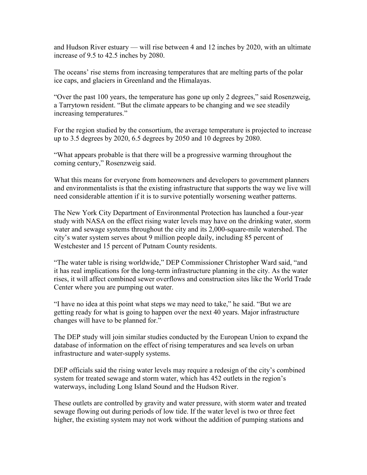and Hudson River estuary — will rise between 4 and 12 inches by 2020, with an ultimate increase of 9.5 to 42.5 inches by 2080.

The oceans' rise stems from increasing temperatures that are melting parts of the polar ice caps, and glaciers in Greenland and the Himalayas.

"Over the past 100 years, the temperature has gone up only 2 degrees," said Rosenzweig, a Tarrytown resident. "But the climate appears to be changing and we see steadily increasing temperatures."

For the region studied by the consortium, the average temperature is projected to increase up to 3.5 degrees by 2020, 6.5 degrees by 2050 and 10 degrees by 2080.

"What appears probable is that there will be a progressive warming throughout the coming century," Rosenzweig said.

What this means for everyone from homeowners and developers to government planners and environmentalists is that the existing infrastructure that supports the way we live will need considerable attention if it is to survive potentially worsening weather patterns.

The New York City Department of Environmental Protection has launched a four-year study with NASA on the effect rising water levels may have on the drinking water, storm water and sewage systems throughout the city and its 2,000-square-mile watershed. The city's water system serves about 9 million people daily, including 85 percent of Westchester and 15 percent of Putnam County residents.

"The water table is rising worldwide," DEP Commissioner Christopher Ward said, "and it has real implications for the long-term infrastructure planning in the city. As the water rises, it will affect combined sewer overflows and construction sites like the World Trade Center where you are pumping out water.

"I have no idea at this point what steps we may need to take," he said. "But we are getting ready for what is going to happen over the next 40 years. Major infrastructure changes will have to be planned for."

The DEP study will join similar studies conducted by the European Union to expand the database of information on the effect of rising temperatures and sea levels on urban infrastructure and water-supply systems.

DEP officials said the rising water levels may require a redesign of the city's combined system for treated sewage and storm water, which has 452 outlets in the region's waterways, including Long Island Sound and the Hudson River.

These outlets are controlled by gravity and water pressure, with storm water and treated sewage flowing out during periods of low tide. If the water level is two or three feet higher, the existing system may not work without the addition of pumping stations and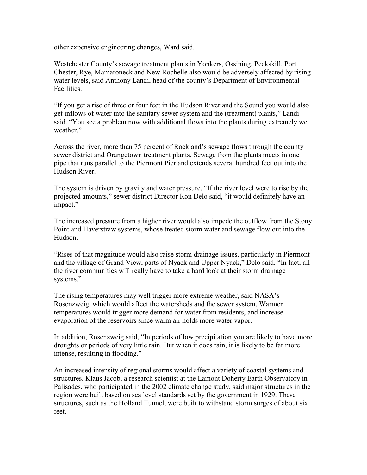other expensive engineering changes, Ward said.

Westchester County's sewage treatment plants in Yonkers, Ossining, Peekskill, Port Chester, Rye, Mamaroneck and New Rochelle also would be adversely affected by rising water levels, said Anthony Landi, head of the county's Department of Environmental Facilities.

"If you get a rise of three or four feet in the Hudson River and the Sound you would also get inflows of water into the sanitary sewer system and the (treatment) plants," Landi said. "You see a problem now with additional flows into the plants during extremely wet weather."

Across the river, more than 75 percent of Rockland's sewage flows through the county sewer district and Orangetown treatment plants. Sewage from the plants meets in one pipe that runs parallel to the Piermont Pier and extends several hundred feet out into the Hudson River.

The system is driven by gravity and water pressure. "If the river level were to rise by the projected amounts," sewer district Director Ron Delo said, "it would definitely have an impact."

The increased pressure from a higher river would also impede the outflow from the Stony Point and Haverstraw systems, whose treated storm water and sewage flow out into the Hudson.

"Rises of that magnitude would also raise storm drainage issues, particularly in Piermont and the village of Grand View, parts of Nyack and Upper Nyack," Delo said. "In fact, all the river communities will really have to take a hard look at their storm drainage systems."

The rising temperatures may well trigger more extreme weather, said NASA's Rosenzweig, which would affect the watersheds and the sewer system. Warmer temperatures would trigger more demand for water from residents, and increase evaporation of the reservoirs since warm air holds more water vapor.

In addition, Rosenzweig said, "In periods of low precipitation you are likely to have more droughts or periods of very little rain. But when it does rain, it is likely to be far more intense, resulting in flooding."

An increased intensity of regional storms would affect a variety of coastal systems and structures. Klaus Jacob, a research scientist at the Lamont Doherty Earth Observatory in Palisades, who participated in the 2002 climate change study, said major structures in the region were built based on sea level standards set by the government in 1929. These structures, such as the Holland Tunnel, were built to withstand storm surges of about six feet.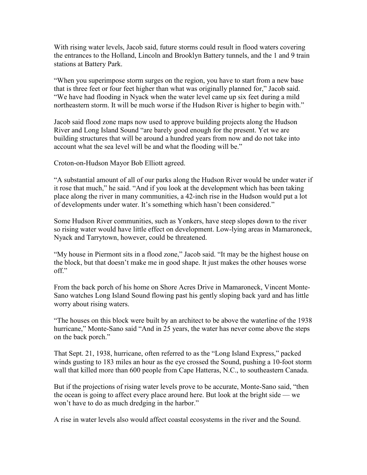With rising water levels, Jacob said, future storms could result in flood waters covering the entrances to the Holland, Lincoln and Brooklyn Battery tunnels, and the 1 and 9 train stations at Battery Park.

"When you superimpose storm surges on the region, you have to start from a new base that is three feet or four feet higher than what was originally planned for," Jacob said. "We have had flooding in Nyack when the water level came up six feet during a mild northeastern storm. It will be much worse if the Hudson River is higher to begin with."

Jacob said flood zone maps now used to approve building projects along the Hudson River and Long Island Sound "are barely good enough for the present. Yet we are building structures that will be around a hundred years from now and do not take into account what the sea level will be and what the flooding will be."

Croton-on-Hudson Mayor Bob Elliott agreed.

"A substantial amount of all of our parks along the Hudson River would be under water if it rose that much," he said. "And if you look at the development which has been taking place along the river in many communities, a 42-inch rise in the Hudson would put a lot of developments under water. It's something which hasn't been considered."

Some Hudson River communities, such as Yonkers, have steep slopes down to the river so rising water would have little effect on development. Low-lying areas in Mamaroneck, Nyack and Tarrytown, however, could be threatened.

"My house in Piermont sits in a flood zone," Jacob said. "It may be the highest house on the block, but that doesn't make me in good shape. It just makes the other houses worse off."

From the back porch of his home on Shore Acres Drive in Mamaroneck, Vincent Monte-Sano watches Long Island Sound flowing past his gently sloping back yard and has little worry about rising waters.

"The houses on this block were built by an architect to be above the waterline of the 1938 hurricane," Monte-Sano said "And in 25 years, the water has never come above the steps on the back porch."

That Sept. 21, 1938, hurricane, often referred to as the "Long Island Express," packed winds gusting to 183 miles an hour as the eye crossed the Sound, pushing a 10-foot storm wall that killed more than 600 people from Cape Hatteras, N.C., to southeastern Canada.

But if the projections of rising water levels prove to be accurate, Monte-Sano said, "then the ocean is going to affect every place around here. But look at the bright side — we won't have to do as much dredging in the harbor."

A rise in water levels also would affect coastal ecosystems in the river and the Sound.